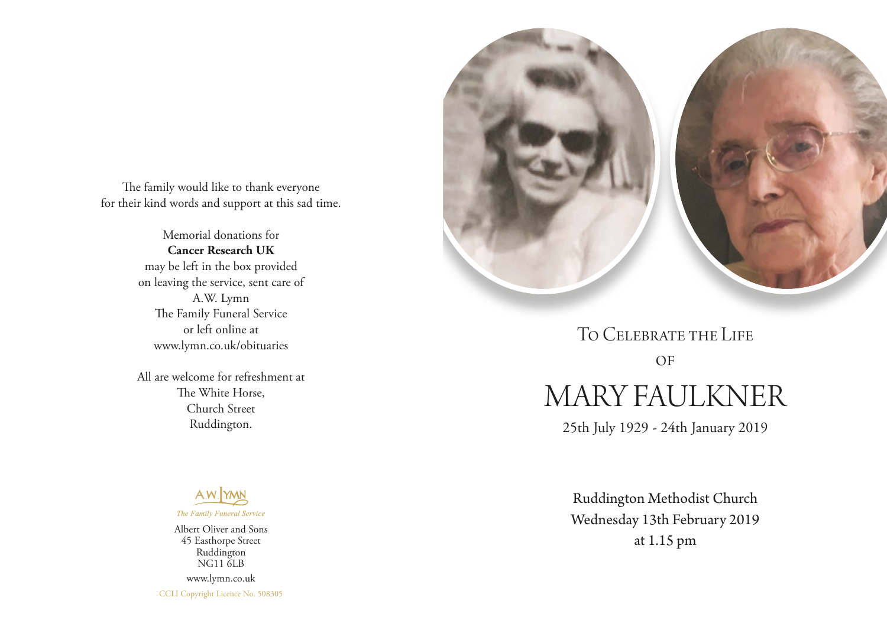The family would like to thank everyone for their kind words and support at this sad time.

> Memorial donations for **Cancer Research UK** may be left in the box provided on leaving the service, sent care of A.W. Lymn The Family Funeral Service or left online at www.lymn.co.uk/obituaries

> All are welcome for refreshment at The White Horse, Church Street Ruddington.



Albert Oliver and Sons 45 Easthorpe Street Ruddington NG11 6LB www.lymn.co.uk CCLI Copyright Licence No. 508305



MARY FAULKNER To Celebrate the Life  $OF$ 

25th July 1929 - 24th January 2019

Ruddington Methodist Church Wednesday 13th February 2019 at 1.15 pm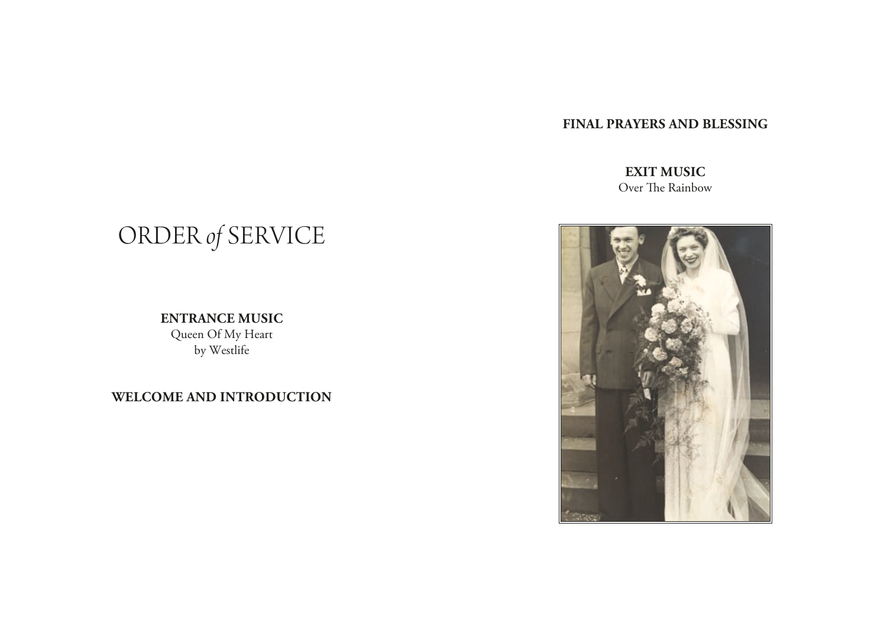# **FINAL PRAYERS AND BLESSING**

# **EXIT MUSIC** Over The Rainbow

# ORDER *of* SERVICE

**ENTRANCE MUSIC** Queen Of My Heart by Westlife

**WELCOME AND INTRODUCTION**

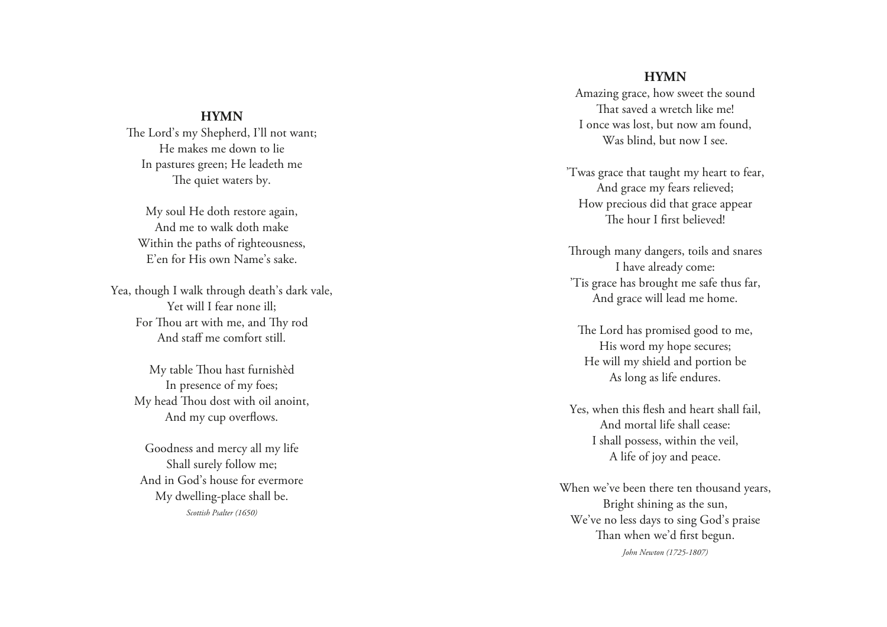### **HYMN**

The Lord's my Shepherd, I'll not want; He makes me down to lie In pastures green; He leadeth me The quiet waters by.

My soul He doth restore again, And me to walk doth make Within the paths of righteousness, E'en for His own Name's sake.

Yea, though I walk through death's dark vale, Yet will I fear none ill; For Thou art with me, and Thy rod And staff me comfort still.

> My table Thou hast furnishèd In presence of my foes; My head Thou dost with oil anoint, And my cup overflows.

Goodness and mercy all my life Shall surely follow me; And in God's house for evermore My dwelling-place shall be. *Scottish Psalter (1650)*

#### **HYMN**

Amazing grace, how sweet the sound That saved a wretch like me! I once was lost, but now am found, Was blind, but now I see.

'Twas grace that taught my heart to fear, And grace my fears relieved; How precious did that grace appear The hour I first believed!

Through many dangers, toils and snares I have already come: 'Tis grace has brought me safe thus far, And grace will lead me home.

The Lord has promised good to me, His word my hope secures; He will my shield and portion be As long as life endures.

Yes, when this flesh and heart shall fail, And mortal life shall cease: I shall possess, within the veil, A life of joy and peace.

When we've been there ten thousand years, Bright shining as the sun, We've no less days to sing God's praise Than when we'd first begun. *John Newton (1725-1807)*